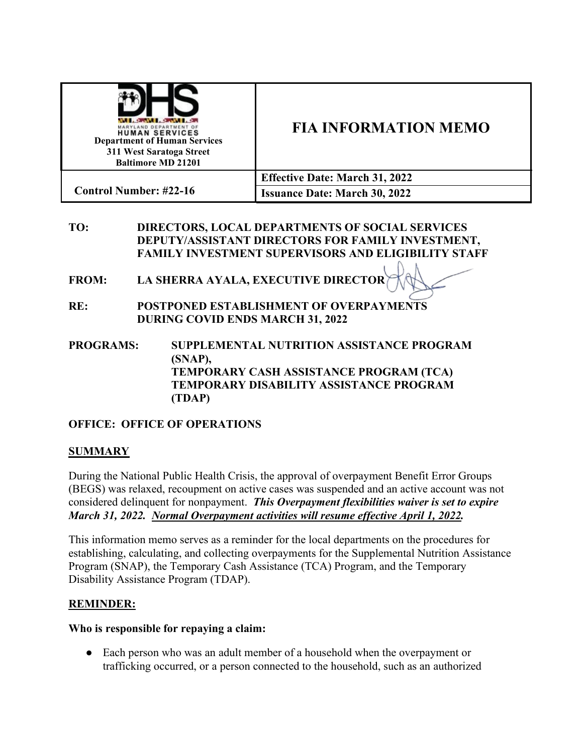| <b>WELL-BOOKER CONVERTS</b><br>MARYLAND DEPARTMENT OF<br><b>HUMAN SERVICES</b><br><b>Department of Human Services</b><br>311 West Saratoga Street<br><b>Baltimore MD 21201</b> | <b>FIA INFORMATION MEMO</b>           |
|--------------------------------------------------------------------------------------------------------------------------------------------------------------------------------|---------------------------------------|
|                                                                                                                                                                                | <b>Effective Date: March 31, 2022</b> |
| <b>Control Number: #22-16</b>                                                                                                                                                  | <b>Issuance Date: March 30, 2022</b>  |

## **TO: DIRECTORS, LOCAL DEPARTMENTS OF SOCIAL SERVICES DEPUTY/ASSISTANT DIRECTORS FOR FAMILY INVESTMENT, FAMILY INVESTMENT SUPERVISORS AND ELIGIBILITY STAFF**

- **FROM: LA SHERRA AYALA, EXECUTIVE DIRECTOR**
- **RE: POSTPONED ESTABLISHMENT OF OVERPAYMENTS DURING COVID ENDS MARCH 31, 2022**
- **PROGRAMS: SUPPLEMENTAL NUTRITION ASSISTANCE PROGRAM (SNAP), TEMPORARY CASH ASSISTANCE PROGRAM (TCA) TEMPORARY DISABILITY ASSISTANCE PROGRAM (TDAP)**

# **OFFICE: OFFICE OF OPERATIONS**

## **SUMMARY**

During the National Public Health Crisis, the approval of overpayment Benefit Error Groups (BEGS) was relaxed, recoupment on active cases was suspended and an active account was not considered delinquent for nonpayment. *This Overpayment flexibilities waiver is set to expire March 31, 2022. Normal Overpayment activities will resume effective April 1, 2022.* 

This information memo serves as a reminder for the local departments on the procedures for establishing, calculating, and collecting overpayments for the Supplemental Nutrition Assistance Program (SNAP), the Temporary Cash Assistance (TCA) Program, and the Temporary Disability Assistance Program (TDAP).

## **REMINDER:**

#### **Who is responsible for repaying a claim:**

• Each person who was an adult member of a household when the overpayment or trafficking occurred, or a person connected to the household, such as an authorized